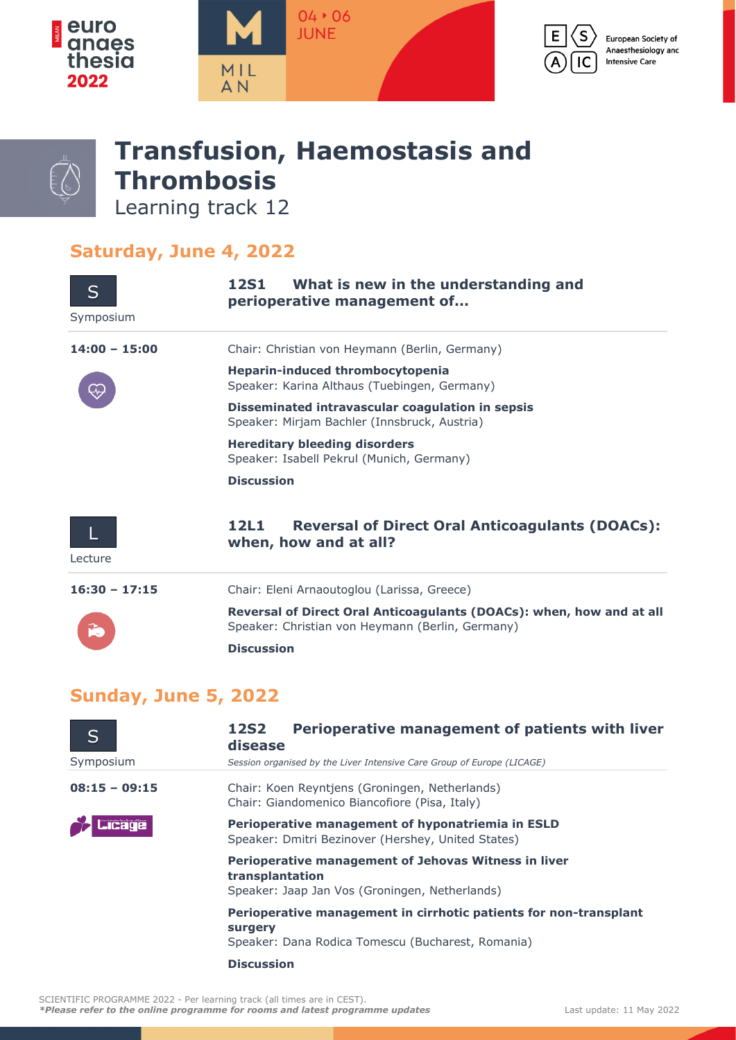



## **Transfusion, Haemostasis and Thrombosis**

Learning track 12

## **Saturday, June 4, 2022**

| S<br>Symposium  | What is new in the understanding and<br>12S1<br>perioperative management of                                              |
|-----------------|--------------------------------------------------------------------------------------------------------------------------|
| $14:00 - 15:00$ | Chair: Christian von Heymann (Berlin, Germany)                                                                           |
|                 | Heparin-induced thrombocytopenia<br>Speaker: Karina Althaus (Tuebingen, Germany)                                         |
|                 | Disseminated intravascular coagulation in sepsis<br>Speaker: Mirjam Bachler (Innsbruck, Austria)                         |
|                 | <b>Hereditary bleeding disorders</b><br>Speaker: Isabell Pekrul (Munich, Germany)                                        |
|                 | <b>Discussion</b>                                                                                                        |
| Lecture         | <b>Reversal of Direct Oral Anticoagulants (DOACs):</b><br>12L1<br>when, how and at all?                                  |
| $16:30 - 17:15$ | Chair: Eleni Arnaoutoglou (Larissa, Greece)                                                                              |
|                 | Reversal of Direct Oral Anticoagulants (DOACs): when, how and at all<br>Speaker: Christian von Heymann (Berlin, Germany) |
|                 | <b>Discussion</b>                                                                                                        |

## **Sunday, June 5, 2022**

| S               | Perioperative management of patients with liver<br><b>12S2</b><br>disease                                                         |
|-----------------|-----------------------------------------------------------------------------------------------------------------------------------|
| Symposium       | Session organised by the Liver Intensive Care Group of Europe (LICAGE)                                                            |
| $08:15 - 09:15$ | Chair: Koen Reyntjens (Groningen, Netherlands)<br>Chair: Giandomenico Biancofiore (Pisa, Italy)                                   |
| <b>Jicage</b>   | Perioperative management of hyponatriemia in ESLD<br>Speaker: Dmitri Bezinover (Hershey, United States)                           |
|                 | Perioperative management of Jehovas Witness in liver<br>transplantation<br>Speaker: Jaap Jan Vos (Groningen, Netherlands)         |
|                 | Perioperative management in cirrhotic patients for non-transplant<br>surgery<br>Speaker: Dana Rodica Tomescu (Bucharest, Romania) |
|                 | <b>Discussion</b>                                                                                                                 |